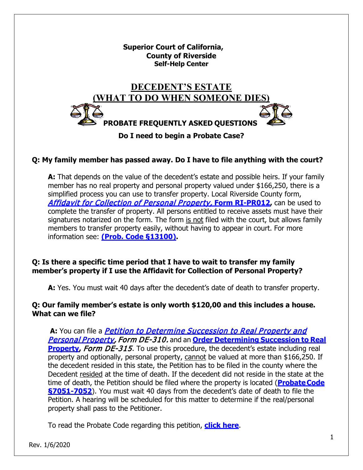**Superior Court of California, County of Riverside Self-Help Center**



# **Q: My family member has passed away. Do I have to file anything with the court?**

**A:** That depends on the value of the decedent's estate and possible heirs. If your family member has no real property and personal property valued under \$166,250, there is a simplified process you can use to transfer property. Local Riverside County form, [Affidavit for Collection of Personal Property,](http://riverside.courts.ca.gov/localfrms/ri-pr012.pdf) **Form RI-PR012,** can be used to complete the transfer of property. All persons entitled to receive assets must have their signatures notarized on the form. The form is not filed with the court, but allows family members to transfer property easily, without having to appear in court. For more information see: **[\(Prob. Code §13100\).](http://www.leginfo.ca.gov/cgi-bin/displaycode?section=prob&group=13001-14000&file=13100-13116)**

# **Q: Is there a specific time period that I have to wait to transfer my family member's property if I use the Affidavit for Collection of Personal Property?**

**A:** Yes. You must wait 40 days after the decedent's date of death to transfer property.

### **Q: Our family member's estate is only worth \$120,00 and this includes a house. What can we file?**

A: You can file a *Petition to Determine Succession to Real Property and* [Personal Property,](http://www.courts.ca.gov/de310.pdf) Form DE-310. and an **Order [Determining](http://www.courts.ca.gov/de315.pdf) Succession to Real [Property,](http://www.courts.ca.gov/de315.pdf) Form DE-315.** To use this procedure, the decedent's estate including real property and optionally, personal property, cannot be valued at more than \$166,250. If the decedent resided in this state, the Petition has to be filed in the county where the Decedent resided at the time of death. If the decedent did not reside in the state at the time of death, the Petition should be filed where the property is located (**[ProbateCode](http://www.leginfo.ca.gov/cgi-bin/displaycode?section=prob&group=07001-08000&file=7050-7052) [§7051-7052](http://www.leginfo.ca.gov/cgi-bin/displaycode?section=prob&group=07001-08000&file=7050-7052)**). You must wait 40 days from the decedent's date of death to file the Petition. A hearing will be scheduled for this matter to determine if the real/personal property shall pass to the Petitioner.

To read the Probate Code regarding this petition, **[click here](http://www.leginfo.ca.gov/cgi-bin/displaycode?section=prob&group=13001-14000&file=13150-13158)**.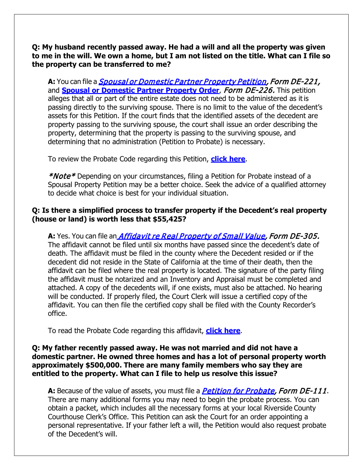**Q: My husband recently passed away. He had a will and all the property was given to me in the will. We own a home, but I am not listed on the title. What can I file so the property can be transferred to me?**

**A:** You can file a [Spousal or Domestic Partner Property Petition,](http://www.courts.ca.gov/de221.pdf) Form DE-221, and **[Spousal or Domestic Partner Property Order](http://www.courts.ca.gov/de226.pdf)**, Form DE-226. This petition alleges that all or part of the entire estate does not need to be administered as it is passing directly to the surviving spouse. There is no limit to the value of the decedent's assets for this Petition. If the court finds that the identified assets of the decedent are property passing to the surviving spouse, the court shall issue an order describing the property, determining that the property is passing to the surviving spouse, and determining that no administration (Petition to Probate) is necessary.

To review the Probate Code regarding this Petition, **[click here](http://www.leginfo.ca.gov/cgi-bin/displaycode?section=prob&group=13001-14000&file=13650-13660)**.

\*Note\* Depending on your circumstances, filing a Petition for Probate instead of a Spousal Property Petition may be a better choice. Seek the advice of a qualified attorney to decide what choice is best for your individual situation.

### **Q: Is there a simplified process to transfer property if the Decedent's real property (house or land) is worth less that \$55,425?**

A: Yes. You can file an *[Affidavit re Real Property of Small Value,](http://www.courts.ca.gov/de305.pdf) Form DE-305.* The affidavit cannot be filed until six months have passed since the decedent's date of death. The affidavit must be filed in the county where the Decedent resided or if the decedent did not reside in the State of California at the time of their death, then the affidavit can be filed where the real property is located. The signature of the party filing the affidavit must be notarized and an Inventory and Appraisal must be completed and attached. A copy of the decedents will, if one exists, must also be attached. No hearing will be conducted. If properly filed, the Court Clerk will issue a certified copy of the affidavit. You can then file the certified copy shall be filed with the County Recorder's office.

To read the Probate Code regarding this affidavit, **[click here](http://www.leginfo.ca.gov/cgi-bin/displaycode?section=prob&group=13001-14000&file=13200-13210)**.

#### **Q: My father recently passed away. He was not married and did not have a domestic partner. He owned three homes and has a lot of personal property worth approximately \$500,000. There are many family members who say they are entitled to the property. What can I file to help us resolve this issue?**

A: Because of the value of assets, you must file a *[Petition for Probate,](http://www.courts.ca.gov/de111.pdf) Form DE-111*. There are many additional forms you may need to begin the probate process. You can obtain a packet, which includes all the necessary forms at your local Riverside County Courthouse Clerk's Office. This Petition can ask the Court for an order appointing a personal representative. If your father left a will, the Petition would also request probate of the Decedent's will.